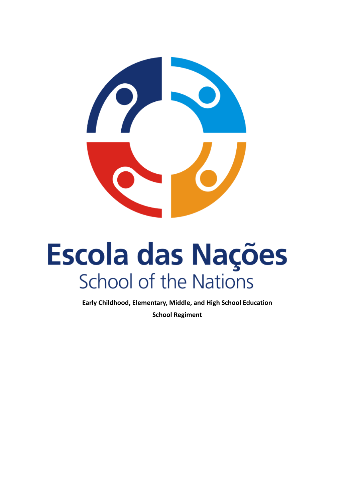

# **Escola das Nações School of the Nations**

**Early Childhood, Elementary, Middle, and High School Education School Regiment**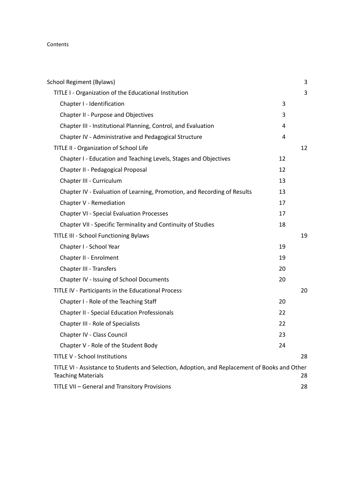# Contents

| <b>School Regiment (Bylaws)</b>                                                                                            |    | 3  |
|----------------------------------------------------------------------------------------------------------------------------|----|----|
| TITLE I - Organization of the Educational Institution                                                                      |    | 3  |
| Chapter I - Identification                                                                                                 | 3  |    |
| Chapter II - Purpose and Objectives                                                                                        | 3  |    |
| Chapter III - Institutional Planning, Control, and Evaluation                                                              | 4  |    |
| Chapter IV - Administrative and Pedagogical Structure                                                                      | 4  |    |
| TITLE II - Organization of School Life                                                                                     |    | 12 |
| Chapter I - Education and Teaching Levels, Stages and Objectives                                                           | 12 |    |
| Chapter II - Pedagogical Proposal                                                                                          | 12 |    |
| Chapter III - Curriculum                                                                                                   | 13 |    |
| Chapter IV - Evaluation of Learning, Promotion, and Recording of Results                                                   | 13 |    |
| Chapter V - Remediation                                                                                                    | 17 |    |
| <b>Chapter VI - Special Evaluation Processes</b>                                                                           | 17 |    |
| Chapter VII - Specific Terminality and Continuity of Studies                                                               | 18 |    |
| TITLE III - School Functioning Bylaws                                                                                      |    | 19 |
| Chapter I - School Year                                                                                                    | 19 |    |
| Chapter II - Enrolment                                                                                                     | 19 |    |
| Chapter III - Transfers                                                                                                    | 20 |    |
| Chapter IV - Issuing of School Documents                                                                                   | 20 |    |
| TITLE IV - Participants in the Educational Process                                                                         |    | 20 |
| Chapter I - Role of the Teaching Staff                                                                                     | 20 |    |
| <b>Chapter II - Special Education Professionals</b>                                                                        | 22 |    |
| Chapter III - Role of Specialists                                                                                          | 22 |    |
| Chapter IV - Class Council                                                                                                 | 23 |    |
| Chapter V - Role of the Student Body                                                                                       | 24 |    |
| <b>TITLE V - School Institutions</b>                                                                                       |    | 28 |
| TITLE VI - Assistance to Students and Selection, Adoption, and Replacement of Books and Other<br><b>Teaching Materials</b> |    | 28 |
| TITLE VII - General and Transitory Provisions                                                                              |    | 28 |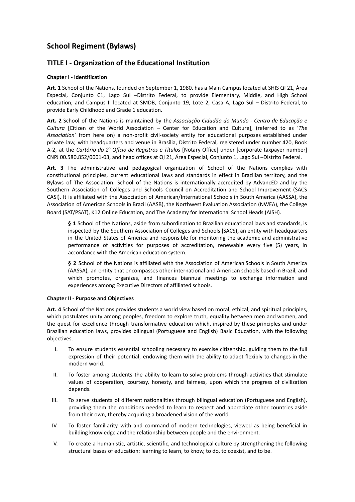# <span id="page-2-0"></span>**School Regiment (Bylaws)**

# <span id="page-2-1"></span>**TITLE I - Organization of the Educational Institution**

# <span id="page-2-2"></span>**Chapter I - Identification**

**Art. 1** School of the Nations, founded on September 1, 1980, has a Main Campus located at SHIS QI 21, Área Especial, Conjunto C1, Lago Sul –Distrito Federal, to provide Elementary, Middle, and High School education, and Campus II located at SMDB, Conjunto 19, Lote 2, Casa A, Lago Sul – Distrito Federal, to provide Early Childhood and Grade 1 education.

**Art. 2** School of the Nations is maintained by the *Associação Cidadão do Mundo - Centro de Educação e Cultura* [Citizen of the World Association – Center for Education and Culture], (referred to as '*The Association*' from here on) a non-profit civil-society entity for educational purposes established under private law, with headquarters and venue in Brasília, Distrito Federal, registered under number 420, Book A-2, at the *Cartório do 2<sup>°</sup> Ofício de Registros e Títulos* [Notary Office] under [corporate taxpayer number] CNPJ 00.580.852/0001-03, and head offices at QI 21, Área Especial, Conjunto 1, Lago Sul –Distrito Federal.

**Art. 3** The administrative and pedagogical organization of School of the Nations complies with constitutional principles, current educational laws and standards in effect in Brazilian territory, and the Bylaws of The Association. School of the Nations is internationally accredited by AdvancED and by the Southern Association of Colleges and Schools Council on Accreditation and School Improvement (SACS CASI). It is affiliated with the Association of American/International Schools in South America (AASSA), the Association of American Schools in Brazil (AASB), the Northwest Evaluation Association (NWEA), the College Board (SAT/PSAT), K12 Online Education, and The Academy for International School Heads (AISH).

**§ 1** School of the Nations, aside from subordination to Brazilian educational laws and standards, is inspected by the Southern Association of Colleges and Schools **(**SACS**),** an entity with headquarters in the United States of America and responsible for monitoring the academic and administrative performance of activities for purposes of accreditation, renewable every five (5) years, in accordance with the American education system.

**§ 2** School of the Nations is affiliated with the Association of American Schools in South America (AASSA), an entity that encompasses other international and American schools based in Brazil, and which promotes, organizes, and finances biannual meetings to exchange information and experiences among Executive Directors of affiliated schools.

# <span id="page-2-3"></span>**Chapter II - Purpose and Objectives**

**Art. 4** School of the Nations provides students a world view based on moral, ethical, and spiritual principles, which postulates unity among peoples, freedom to explore truth, equality between men and women, and the quest for excellence through transformative education which, inspired by these principles and under Brazilian education laws, provides bilingual (Portuguese and English) Basic Education, with the following objectives.

- I. To ensure students essential schooling necessary to exercise citizenship, guiding them to the full expression of their potential, endowing them with the ability to adapt flexibly to changes in the modern world.
- II. To foster among students the ability to learn to solve problems through activities that stimulate values of cooperation, courtesy, honesty, and fairness, upon which the progress of civilization depends.
- III. To serve students of different nationalities through bilingual education (Portuguese and English), providing them the conditions needed to learn to respect and appreciate other countries aside from their own, thereby acquiring a broadened vision of the world.
- IV. To foster familiarity with and command of modern technologies, viewed as being beneficial in building knowledge and the relationship between people and the environment.
- V. To create a humanistic, artistic, scientific, and technological culture by strengthening the following structural bases of education: learning to learn, to know, to do, to coexist, and to be.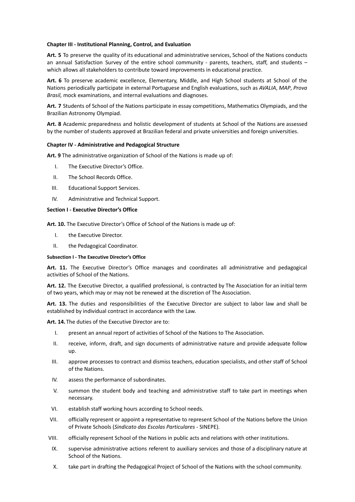#### <span id="page-3-0"></span>**Chapter III - Institutional Planning, Control, and Evaluation**

**Art. 5** To preserve the quality of its educational and administrative services, School of the Nations conducts an annual Satisfaction Survey of the entire school community - parents, teachers, staff, and students – which allows all stakeholders to contribute toward improvements in educational practice.

**Art. 6** To preserve academic excellence, Elementary, Middle, and High School students at School of the Nations periodically participate in external Portuguese and English evaluations, such as *AVALIA*, *MAP*, *Prova Brasil,* mock examinations, and internal evaluations and diagnoses.

**Art. 7** Students of School of the Nations participate in essay competitions, Mathematics Olympiads, and the Brazilian Astronomy Olympiad.

**Art. 8** Academic preparedness and holistic development of students at School of the Nations are assessed by the number of students approved at Brazilian federal and private universities and foreign universities.

# <span id="page-3-1"></span>**Chapter IV - Administrative and Pedagogical Structure**

**Art. 9** The administrative organization of School of the Nations is made up of:

- I. The Executive Director's Office.
- II. The School Records Office.
- III. Educational Support Services.
- IV. Administrative and Technical Support.

#### **Section I - Executive Director's Office**

**Art. 10.** The Executive Director's Office of School of the Nations is made up of:

- I. the Executive Director.
- II. the Pedagogical Coordinator.

#### **Subsection I - The Executive Director's Office**

**Art. 11.** The Executive Director's Office manages and coordinates all administrative and pedagogical activities of School of the Nations.

**Art. 12.** The Executive Director, a qualified professional, is contracted by The Association for an initial term of two years, which may or may not be renewed at the discretion of The Association.

**Art. 13.** The duties and responsibilities of the Executive Director are subject to labor law and shall be established by individual contract in accordance with the Law.

**Art. 14.** The duties of the Executive Director are to:

- I. present an annual report of activities of School of the Nations to The Association.
- II. receive, inform, draft, and sign documents of administrative nature and provide adequate follow up.
- III. approve processes to contract and dismiss teachers, education specialists, and other staff of School of the Nations.
- IV. assess the performance of subordinates.
- V. summon the student body and teaching and administrative staff to take part in meetings when necessary.
- VI. establish staff working hours according to School needs.
- VII. officially represent or appoint a representative to represent School of the Nations before the Union of Private Schools (*Sindicato das Escolas Particulares* - SINEPE).
- VIII. officially represent School of the Nations in public acts and relations with other institutions.
- IX. supervise administrative actions referent to auxiliary services and those of a disciplinary nature at School of the Nations.
- X. take part in drafting the Pedagogical Project of School of the Nations with the school community.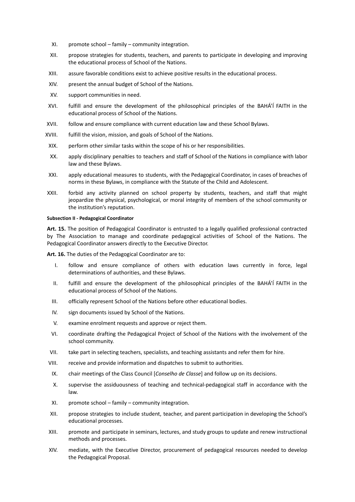- XI. promote school family community integration.
- XII. propose strategies for students, teachers, and parents to participate in developing and improving the educational process of School of the Nations.
- XIII. assure favorable conditions exist to achieve positive results in the educational process.
- XIV. present the annual budget of School of the Nations.
- XV. support communities in need.
- XVI. fulfill and ensure the development of the philosophical principles of the BAHÁ'Í FAITH in the educational process of School of the Nations.
- XVII. follow and ensure compliance with current education law and these School Bylaws.
- XVIII. fulfill the vision, mission, and goals of School of the Nations.
- XIX. perform other similar tasks within the scope of his or her responsibilities.
- XX. apply disciplinary penalties to teachers and staff of School of the Nations in compliance with labor law and these Bylaws.
- XXI. apply educational measures to students, with the Pedagogical Coordinator, in cases of breaches of norms in these Bylaws, in compliance with the Statute of the Child and Adolescent.
- XXII. forbid any activity planned on school property by students, teachers, and staff that might jeopardize the physical, psychological, or moral integrity of members of the school community or the institution's reputation.

#### **Subsection II - Pedagogical Coordinator**

**Art. 15.** The position of Pedagogical Coordinator is entrusted to a legally qualified professional contracted by The Association to manage and coordinate pedagogical activities of School of the Nations. The Pedagogical Coordinator answers directly to the Executive Director.

**Art. 16.** The duties of the Pedagogical Coordinator are to:

- I. follow and ensure compliance of others with education laws currently in force, legal determinations of authorities, and these Bylaws.
- II. fulfill and ensure the development of the philosophical principles of the BAHÁ'Í FAITH in the educational process of School of the Nations.
- III. officially represent School of the Nations before other educational bodies.
- IV. sign documents issued by School of the Nations.
- V. examine enrolment requests and approve or reject them.
- VI. coordinate drafting the Pedagogical Project of School of the Nations with the involvement of the school community.
- VII. take part in selecting teachers, specialists, and teaching assistants and refer them for hire.
- VIII. receive and provide information and dispatches to submit to authorities.
- IX. chair meetings of the Class Council [*Conselho de Classe*] and follow up on its decisions.
- X. supervise the assiduousness of teaching and technical-pedagogical staff in accordance with the law.
- XI. promote school family community integration.
- XII. propose strategies to include student, teacher, and parent participation in developing the School's educational processes.
- XIII. promote and participate in seminars, lectures, and study groups to update and renew instructional methods and processes.
- XIV. mediate, with the Executive Director, procurement of pedagogical resources needed to develop the Pedagogical Proposal.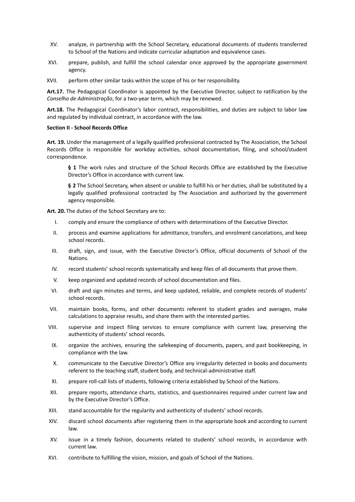- XV. analyze, in partnership with the School Secretary, educational documents of students transferred to School of the Nations and indicate curricular adaptation and equivalence cases.
- XVI. prepare, publish, and fulfill the school calendar once approved by the appropriate government agency.
- XVII. perform other similar tasks within the scope of his or her responsibility.

**Art.17.** The Pedagogical Coordinator is appointed by the Executive Director, subject to ratification by the *Conselho de Administração*, for a two-year term, which may be renewed.

**Art.18.** The Pedagogical Coordinator's labor contract, responsibilities, and duties are subject to labor law and regulated by individual contract, in accordance with the law.

#### **Section II - School Records Office**

**Art. 19.** Under the management of a legally qualified professional contracted by The Association, the School Records Office is responsible for workday activities, school documentation, filing, and school/student correspondence.

**§ 1** The work rules and structure of the School Records Office are established by the Executive Director's Office in accordance with current law.

**§ 2** The School Secretary, when absent or unable to fulfill his or her duties, shall be substituted by a legally qualified professional contracted by The Association and authorized by the government agency responsible.

**Art. 20.** The duties of the School Secretary are to:

- I. comply and ensure the compliance of others with determinations of the Executive Director.
- II. process and examine applications for admittance, transfers, and enrolment cancelations, and keep school records.
- III. draft, sign, and issue, with the Executive Director's Office, official documents of School of the Nations.
- IV. record students' school records systematically and keep files of all documents that prove them.
- V. keep organized and updated records of school documentation and files.
- VI. draft and sign minutes and terms, and keep updated, reliable, and complete records of students' school records.
- VII. maintain books, forms, and other documents referent to student grades and averages, make calculations to appraise results, and share them with the interested parties.
- VIII. supervise and inspect filing services to ensure compliance with current law, preserving the authenticity of students' school records.
- IX. organize the archives, ensuring the safekeeping of documents, papers, and past bookkeeping, in compliance with the law.
- X. communicate to the Executive Director's Office any irregularity detected in books and documents referent to the teaching staff, student body, and technical-administrative staff.
- XI. prepare roll-call lists of students, following criteria established by School of the Nations.
- XII. prepare reports, attendance charts, statistics, and questionnaires required under current law and by the Executive Director's Office.
- XIII. stand accountable for the regularity and authenticity of students' school records.
- XIV. discard school documents after registering them in the appropriate book and according to current law.
- XV. issue in a timely fashion, documents related to students' school records, in accordance with current law.
- XVI. contribute to fulfilling the vision, mission, and goals of School of the Nations.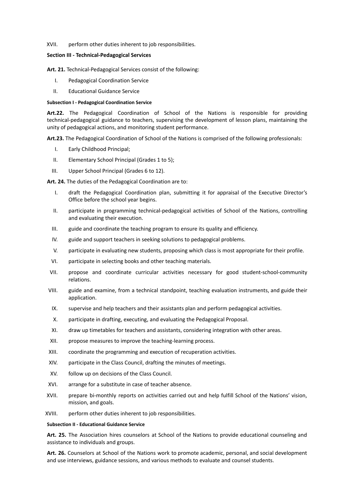#### XVII. perform other duties inherent to job responsibilities.

# **Section III - Technical-Pedagogical Services**

**Art. 21.** Technical-Pedagogical Services consist of the following:

- I. Pedagogical Coordination Service
- II. Educational Guidance Service

#### **Subsection I - Pedagogical Coordination Service**

**Art.22.** The Pedagogical Coordination of School of the Nations is responsible for providing technical-pedagogical guidance to teachers, supervising the development of lesson plans, maintaining the unity of pedagogical actions, and monitoring student performance.

**Art.23.** The Pedagogical Coordination of School of the Nations is comprised of the following professionals:

- I. Early Childhood Principal;
- II. Elementary School Principal (Grades 1 to 5);
- III. Upper School Principal (Grades 6 to 12).

#### **Art. 24.** The duties of the Pedagogical Coordination are to:

- I. draft the Pedagogical Coordination plan, submitting it for appraisal of the Executive Director's Office before the school year begins.
- II. participate in programming technical-pedagogical activities of School of the Nations, controlling and evaluating their execution.
- III. guide and coordinate the teaching program to ensure its quality and efficiency.
- IV. guide and support teachers in seeking solutions to pedagogical problems.
- V. participate in evaluating new students, proposing which class is most appropriate for their profile.
- VI. participate in selecting books and other teaching materials.
- VII. propose and coordinate curricular activities necessary for good student-school-community relations.
- VIII. guide and examine, from a technical standpoint, teaching evaluation instruments, and guide their application.
- IX. supervise and help teachers and their assistants plan and perform pedagogical activities.
- X. participate in drafting, executing, and evaluating the Pedagogical Proposal.
- XI. draw up timetables for teachers and assistants, considering integration with other areas.
- XII. propose measures to improve the teaching-learning process.
- XIII. coordinate the programming and execution of recuperation activities.
- XIV. participate in the Class Council, drafting the minutes of meetings.
- XV. follow up on decisions of the Class Council.
- XVI. arrange for a substitute in case of teacher absence.
- XVII. prepare bi-monthly reports on activities carried out and help fulfill School of the Nations' vision, mission, and goals.
- XVIII. perform other duties inherent to job responsibilities.

#### **Subsection II - Educational Guidance Service**

**Art. 25.** The Association hires counselors at School of the Nations to provide educational counseling and assistance to individuals and groups.

**Art. 26.** Counselors at School of the Nations work to promote academic, personal, and social development and use interviews, guidance sessions, and various methods to evaluate and counsel students.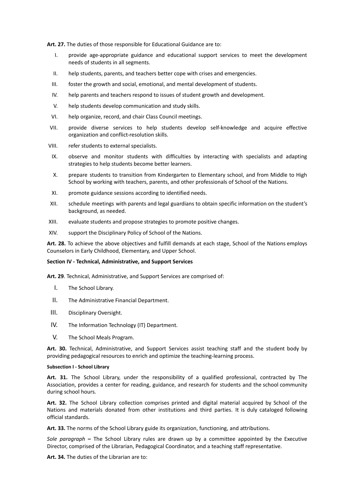**Art. 27.** The duties of those responsible for Educational Guidance are to:

- I. provide age-appropriate guidance and educational support services to meet the development needs of students in all segments.
- II. help students, parents, and teachers better cope with crises and emergencies.
- III. foster the growth and social, emotional, and mental development of students.
- IV. help parents and teachers respond to issues of student growth and development.
- V. help students develop communication and study skills.
- VI. help organize, record, and chair Class Council meetings.
- VII. provide diverse services to help students develop self-knowledge and acquire effective organization and conflict-resolution skills.
- VIII. refer students to external specialists.
- IX. observe and monitor students with difficulties by interacting with specialists and adapting strategies to help students become better learners.
- X. prepare students to transition from Kindergarten to Elementary school, and from Middle to High School by working with teachers, parents, and other professionals of School of the Nations.
- XI. promote guidance sessions according to identified needs.
- XII. schedule meetings with parents and legal guardians to obtain specific information on the student's background, as needed.
- XIII. evaluate students and propose strategies to promote positive changes.
- XIV. support the Disciplinary Policy of School of the Nations.

**Art. 28.** To achieve the above objectives and fulfill demands at each stage, School of the Nations employs Counselors in Early Childhood, Elementary, and Upper School.

#### **Section IV - Technical, Administrative, and Support Services**

**Art. 29**. Technical, Administrative, and Support Services are comprised of:

- I. The School Library.
- II. The Administrative Financial Department.
- III. Disciplinary Oversight.
- IV. The Information Technology (IT) Department.
- V. The School Meals Program.

**Art. 30.** Technical, Administrative, and Support Services assist teaching staff and the student body by providing pedagogical resources to enrich and optimize the teaching-learning process.

#### **Subsection I - School Library**

**Art. 31.** The School Library, under the responsibility of a qualified professional, contracted by The Association, provides a center for reading, guidance, and research for students and the school community during school hours.

**Art. 32.** The School Library collection comprises printed and digital material acquired by School of the Nations and materials donated from other institutions and third parties. It is duly cataloged following official standards.

**Art. 33.** The norms of the School Library guide its organization, functioning, and attributions.

*Sole paragraph* **–** The School Library rules are drawn up by a committee appointed by the Executive Director, comprised of the Librarian, Pedagogical Coordinator, and a teaching staff representative.

**Art. 34.** The duties of the Librarian are to: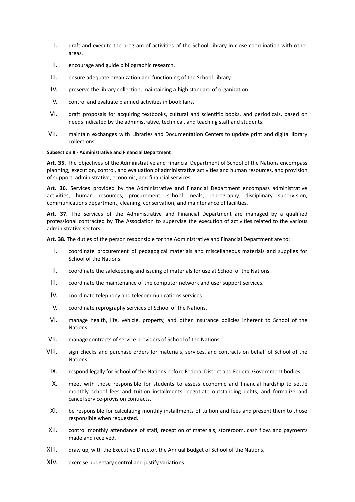- I. draft and execute the program of activities of the School Library in close coordination with other areas.
- II. encourage and guide bibliographic research.
- III. ensure adequate organization and functioning of the School Library.
- IV. preserve the library collection, maintaining a high standard of organization.
- V. control and evaluate planned activities in book fairs.
- VI. draft proposals for acquiring textbooks, cultural and scientific books, and periodicals, based on needs indicated by the administrative, technical, and teaching staff and students.
- VII. maintain exchanges with Libraries and Documentation Centers to update print and digital library collections.

#### **Subsection II - Administrative and Financial Department**

**Art. 35.** The objectives of the Administrative and Financial Department of School of the Nations encompass planning, execution, control, and evaluation of administrative activities and human resources, and provision of support, administrative, economic, and financial services.

**Art. 36.** Services provided by the Administrative and Financial Department encompass administrative activities, human resources, procurement, school meals, reprography, disciplinary supervision, communications department, cleaning, conservation, and maintenance of facilities.

**Art. 37.** The services of the Administrative and Financial Department are managed by a qualified professional contracted by The Association to supervise the execution of activities related to the various administrative sectors.

**Art. 38.** The duties of the person responsible for the Administrative and Financial Department are to:

- I. coordinate procurement of pedagogical materials and miscellaneous materials and supplies for School of the Nations.
- II. coordinate the safekeeping and issuing of materials for use at School of the Nations.
- III. coordinate the maintenance of the computer network and user support services.
- IV. coordinate telephony and telecommunications services.
- V. coordinate reprography services of School of the Nations.
- VI. manage health, life, vehicle, property, and other insurance policies inherent to School of the Nations.
- VII. manage contracts of service providers of School of the Nations.
- VIII. sign checks and purchase orders for materials, services, and contracts on behalf of School of the Nations.
- IX. respond legally for School of the Nations before Federal District and Federal Government bodies.
- X. meet with those responsible for students to assess economic and financial hardship to settle monthly school fees and tuition installments, negotiate outstanding debts, and formalize and cancel service-provision contracts.
- XI. be responsible for calculating monthly installments of tuition and fees and present them to those responsible when requested.
- XII. control monthly attendance of staff, reception of materials, storeroom, cash flow, and payments made and received.
- XIII. draw up, with the Executive Director, the Annual Budget of School of the Nations.
- XIV. exercise budgetary control and justify variations.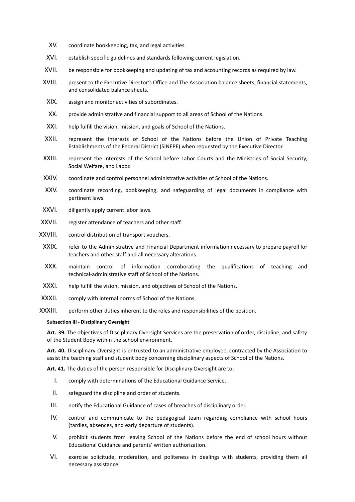- XV. coordinate bookkeeping, tax, and legal activities.
- XVI. establish specific guidelines and standards following current legislation.
- XVII. be responsible for bookkeeping and updating of tax and accounting records as required by law.
- XVIII. present to the Executive Director's Office and The Association balance sheets, financial statements, and consolidated balance sheets.
	- XIX. assign and monitor activities of subordinates.
	- XX. provide administrative and financial support to all areas of School of the Nations.
- XXI. help fulfill the vision, mission, and goals of School of the Nations.
- XXII. represent the interests of School of the Nations before the Union of Private Teaching Establishments of the Federal District (SINEPE) when requested by the Executive Director.
- XXIII. represent the interests of the School before Labor Courts and the Ministries of Social Security, Social Welfare, and Labor.
- XXIV. coordinate and control personnel administrative activities of School of the Nations.
- XXV. coordinate recording, bookkeeping, and safeguarding of legal documents in compliance with pertinent laws.
- XXVI. diligently apply current labor laws.
- XXVII. register attendance of teachers and other staff.
- XXVIII. control distribution of transport vouchers.
- XXIX. refer to the Administrative and Financial Department information necessary to prepare payroll for teachers and other staff and all necessary alterations.
- XXX. maintain control of information corroborating the qualifications of teaching and technical-administrative staff of School of the Nations.
- XXXI. help fulfill the vision, mission, and objectives of School of the Nations.
- XXXII. comply with internal norms of School of the Nations.
- XXXIII. perform other duties inherent to the roles and responsibilities of the position.

#### **Subsection III - Disciplinary Oversight**

**Art. 39.** The objectives of Disciplinary Oversight Services are the preservation of order, discipline, and safety of the Student Body within the school environment.

**Art. 40.** Disciplinary Oversight is entrusted to an administrative employee, contracted by the Association to assist the teaching staff and student body concerning disciplinary aspects of School of the Nations.

**Art. 41.** The duties of the person responsible for Disciplinary Oversight are to:

- I. comply with determinations of the Educational Guidance Service.
- II. safeguard the discipline and order of students.
- III. notify the Educational Guidance of cases of breaches of disciplinary order.
- IV. control and communicate to the pedagogical team regarding compliance with school hours (tardies, absences, and early departure of students).
- V. prohibit students from leaving School of the Nations before the end of school hours without Educational Guidance and parents' written authorization.
- VI. exercise solicitude, moderation, and politeness in dealings with students, providing them all necessary assistance.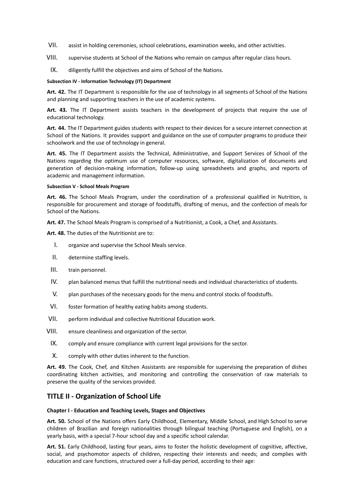- VII. assist in holding ceremonies, school celebrations, examination weeks, and other activities.
- VIII. supervise students at School of the Nations who remain on campus after regular class hours.
	- IX. diligently fulfill the objectives and aims of School of the Nations.

#### **Subsection IV - Information Technology (IT) Department**

**Art. 42.** The IT Department is responsible for the use of technology in all segments of School of the Nations and planning and supporting teachers in the use of academic systems.

**Art. 43.** The IT Department assists teachers in the development of projects that require the use of educational technology.

**Art. 44.** The IT Department guides students with respect to their devices for a secure internet connection at School of the Nations. It provides support and guidance on the use of computer programs to produce their schoolwork and the use of technology in general.

**Art. 45.** The IT Department assists the Technical, Administrative, and Support Services of School of the Nations regarding the optimum use of computer resources, software, digitalization of documents and generation of decision-making information, follow-up using spreadsheets and graphs, and reports of academic and management information.

#### **Subsection V - School Meals Program**

**Art. 46.** The School Meals Program, under the coordination of a professional qualified in Nutrition, is responsible for procurement and storage of foodstuffs, drafting of menus, and the confection of meals for School of the Nations.

**Art. 47.** The School Meals Program is comprised of a Nutritionist, a Cook, a Chef, and Assistants.

**Art. 48.** The duties of the Nutritionist are to:

- I. organize and supervise the School Meals service.
- II. determine staffing levels.
- III. train personnel.
- IV. plan balanced menus that fulfill the nutritional needs and individual characteristics of students.
- V. plan purchases of the necessary goods for the menu and control stocks of foodstuffs.
- VI. foster formation of healthy eating habits among students.
- VII. perform individual and collective Nutritional Education work.
- VIII. ensure cleanliness and organization of the sector.
- IX. comply and ensure compliance with current legal provisions for the sector.
- X. comply with other duties inherent to the function.

**Art. 49.** The Cook, Chef, and Kitchen Assistants are responsible for supervising the preparation of dishes coordinating kitchen activities, and monitoring and controlling the conservation of raw materials to preserve the quality of the services provided.

# <span id="page-10-0"></span>**TITLE II - Organization of School Life**

#### <span id="page-10-1"></span>**Chapter I - Education and Teaching Levels, Stages and Objectives**

**Art. 50.** School of the Nations offers Early Childhood, Elementary, Middle School, and High School to serve children of Brazilian and foreign nationalities through bilingual teaching (Portuguese and English), on a yearly basis, with a special 7-hour school day and a specific school calendar.

**Art. 51.** Early Childhood, lasting four years, aims to foster the holistic development of cognitive, affective, social, and psychomotor aspects of children, respecting their interests and needs; and complies with education and care functions, structured over a full-day period, according to their age: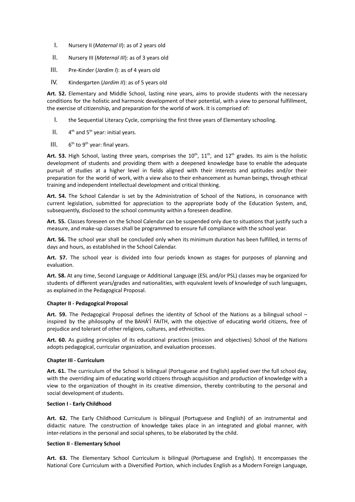- I. Nursery II (*Maternal II*): as of 2 years old
- II. Nursery III (*Maternal III*): as of 3 years old
- III. Pre-Kinder (*Jardim I*): as of 4 years old
- IV. Kindergarten (*Jardim II*): as of 5 years old

**Art. 52.** Elementary and Middle School, lasting nine years, aims to provide students with the necessary conditions for the holistic and harmonic development of their potential, with a view to personal fulfillment, the exercise of citizenship, and preparation for the world of work. It is comprised of:

- I. the Sequential Literacy Cycle, comprising the first three years of Elementary schooling.
- $II.$ <sup>th</sup> and 5<sup>th</sup> year: initial years.
- $III.$ <sup>th</sup> to 9<sup>th</sup> year: final years.

Art. 53. High School, lasting three years, comprises the  $10^{th}$ ,  $11^{th}$ , and  $12^{th}$  grades. Its aim is the holistic development of students and providing them with a deepened knowledge base to enable the adequate pursuit of studies at a higher level in fields aligned with their interests and aptitudes and/or their preparation for the world of work, with a view also to their enhancement as human beings, through ethical training and independent intellectual development and critical thinking.

**Art. 54.** The School Calendar is set by the Administration of School of the Nations, in consonance with current legislation, submitted for appreciation to the appropriate body of the Education System, and, subsequently, disclosed to the school community within a foreseen deadline.

**Art. 55.** Classes foreseen on the School Calendar can be suspended only due to situations that justify such a measure, and make-up classes shall be programmed to ensure full compliance with the school year.

**Art. 56.** The school year shall be concluded only when its minimum duration has been fulfilled, in terms of days and hours, as established in the School Calendar.

**Art. 57.** The school year is divided into four periods known as stages for purposes of planning and evaluation.

**Art. 58.** At any time, Second Language or Additional Language (ESL and/or PSL) classes may be organized for students of different years/grades and nationalities, with equivalent levels of knowledge of such languages, as explained in the Pedagogical Proposal.

#### <span id="page-11-0"></span>**Chapter II - Pedagogical Proposal**

**Art. 59.** The Pedagogical Proposal defines the identity of School of the Nations as a bilingual school – inspired by the philosophy of the BAHÁ'Í FAITH, with the objective of educating world citizens, free of prejudice and tolerant of other religions, cultures, and ethnicities.

**Art. 60.** As guiding principles of its educational practices (mission and objectives) School of the Nations adopts pedagogical, curricular organization, and evaluation processes.

#### <span id="page-11-1"></span>**Chapter III - Curriculum**

**Art. 61.** The curriculum of the School is bilingual (Portuguese and English) applied over the full school day, with the overriding aim of educating world citizens through acquisition and production of knowledge with a view to the organization of thought in its creative dimension, thereby contributing to the personal and social development of students.

#### **Section I - Early Childhood**

**Art. 62.** The Early Childhood Curriculum is bilingual (Portuguese and English) of an instrumental and didactic nature. The construction of knowledge takes place in an integrated and global manner, with inter-relations in the personal and social spheres, to be elaborated by the child.

#### **Section II - Elementary School**

**Art. 63.** The Elementary School Curriculum is bilingual (Portuguese and English). It encompasses the National Core Curriculum with a Diversified Portion, which includes English as a Modern Foreign Language,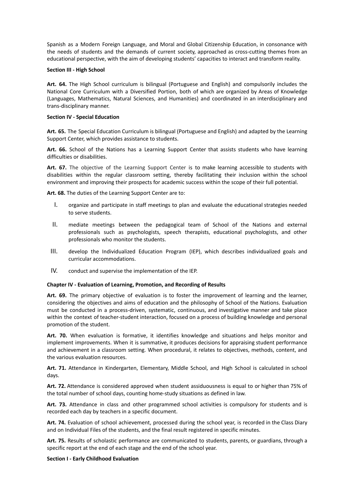Spanish as a Modern Foreign Language, and Moral and Global Citizenship Education, in consonance with the needs of students and the demands of current society, approached as cross-cutting themes from an educational perspective, with the aim of developing students' capacities to interact and transform reality.

#### **Section III - High School**

**Art. 64.** The High School curriculum is bilingual (Portuguese and English) and compulsorily includes the National Core Curriculum with a Diversified Portion, both of which are organized by Areas of Knowledge (Languages, Mathematics, Natural Sciences, and Humanities) and coordinated in an interdisciplinary and trans-disciplinary manner.

## **Section IV - Special Education**

**Art. 65.** The Special Education Curriculum is bilingual (Portuguese and English) and adapted by the Learning Support Center, which provides assistance to students.

**Art. 66.** School of the Nations has a Learning Support Center that assists students who have learning difficulties or disabilities.

**Art. 67.** The objective of the Learning Support Center is to make learning accessible to students with disabilities within the regular classroom setting, thereby facilitating their inclusion within the school environment and improving their prospects for academic success within the scope of their full potential.

**Art. 68.** The duties of the Learning Support Center are to:

- I. organize and participate in staff meetings to plan and evaluate the educational strategies needed to serve students.
- II. mediate meetings between the pedagogical team of School of the Nations and external professionals such as psychologists, speech therapists, educational psychologists, and other professionals who monitor the students.
- III. develop the Individualized Education Program (IEP), which describes individualized goals and curricular accommodations.
- IV. conduct and supervise the implementation of the IEP.

# <span id="page-12-0"></span>**Chapter IV - Evaluation of Learning, Promotion, and Recording of Results**

**Art. 69.** The primary objective of evaluation is to foster the improvement of learning and the learner, considering the objectives and aims of education and the philosophy of School of the Nations. Evaluation must be conducted in a process-driven, systematic, continuous, and investigative manner and take place within the context of teacher-student interaction, focused on a process of building knowledge and personal promotion of the student.

**Art. 70.** When evaluation is formative, it identifies knowledge and situations and helps monitor and implement improvements. When it is summative, it produces decisions for appraising student performance and achievement in a classroom setting. When procedural, it relates to objectives, methods, content, and the various evaluation resources.

**Art. 71.** Attendance in Kindergarten, Elementary, Middle School, and High School is calculated in school days.

**Art. 72.** Attendance is considered approved when student assiduousness is equal to or higher than 75% of the total number of school days, counting home-study situations as defined in law.

**Art. 73.** Attendance in class and other programmed school activities is compulsory for students and is recorded each day by teachers in a specific document.

**Art. 74.** Evaluation of school achievement, processed during the school year, is recorded in the Class Diary and on Individual Files of the students, and the final result registered in specific minutes.

**Art. 75.** Results of scholastic performance are communicated to students, parents, or guardians, through a specific report at the end of each stage and the end of the school year.

## **Section I - Early Childhood Evaluation**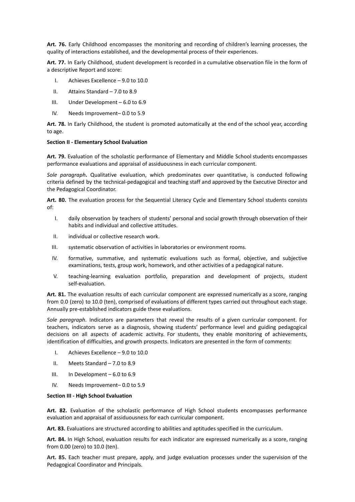**Art. 76.** Early Childhood encompasses the monitoring and recording of children's learning processes, the quality of interactions established, and the developmental process of their experiences.

**Art. 77.** In Early Childhood, student development is recorded in a cumulative observation file in the form of a descriptive Report and score:

- I. Achieves Excellence 9.0 to 10.0
- II. Attains Standard 7.0 to 8.9
- III. Under Development 6.0 to 6.9
- IV. Needs Improvement– 0.0 to 5.9

**Art. 78.** In Early Childhood, the student is promoted automatically at the end of the school year, according to age.

#### **Section II - Elementary School Evaluation**

**Art. 79.** Evaluation of the scholastic performance of Elementary and Middle School students encompasses performance evaluations and appraisal of assiduousness in each curricular component.

*Sole paragraph***.** Qualitative evaluation, which predominates over quantitative, is conducted following criteria defined by the technical-pedagogical and teaching staff and approved by the Executive Director and the Pedagogical Coordinator.

**Art. 80.** The evaluation process for the Sequential Literacy Cycle and Elementary School students consists of:

- I. daily observation by teachers of students' personal and social growth through observation of their habits and individual and collective attitudes.
- II. individual or collective research work.
- III. systematic observation of activities in laboratories or environment rooms.
- IV. formative, summative, and systematic evaluations such as formal, objective, and subjective examinations, tests, group work, homework, and other activities of a pedagogical nature.
- V. teaching-learning evaluation portfolio, preparation and development of projects, student self-evaluation.

**Art. 81.** The evaluation results of each curricular component are expressed numerically as a score, ranging from 0.0 (zero) to 10.0 (ten), comprised of evaluations of different types carried out throughout each stage. Annually pre-established indicators guide these evaluations.

*Sole paragraph*. Indicators are parameters that reveal the results of a given curricular component. For teachers, indicators serve as a diagnosis, showing students' performance level and guiding pedagogical decisions on all aspects of academic activity. For students, they enable monitoring of achievements, identification of difficulties, and growth prospects. Indicators are presented in the form of comments:

- I. Achieves Excellence 9.0 to 10.0
- II. Meets Standard 7.0 to 8.9
- III. In Development 6.0 to 6.9
- IV. Needs Improvement– 0.0 to 5.9

#### **Section III - High School Evaluation**

**Art. 82.** Evaluation of the scholastic performance of High School students encompasses performance evaluation and appraisal of assiduousness for each curricular component.

**Art. 83.** Evaluations are structured according to abilities and aptitudes specified in the curriculum.

**Art. 84.** In High School, evaluation results for each indicator are expressed numerically as a score, ranging from 0.00 (zero) to 10.0 (ten).

**Art. 85.** Each teacher must prepare, apply, and judge evaluation processes under the supervision of the Pedagogical Coordinator and Principals.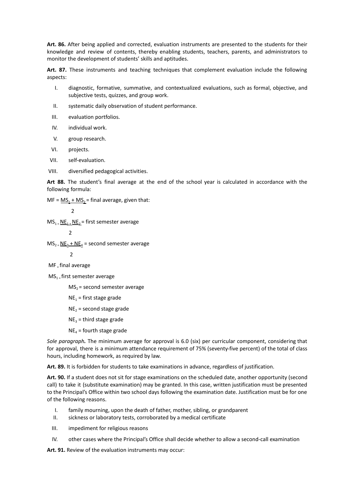**Art. 86.** After being applied and corrected, evaluation instruments are presented to the students for their knowledge and review of contents, thereby enabling students, teachers, parents, and administrators to monitor the development of students' skills and aptitudes.

**Art. 87.** These instruments and teaching techniques that complement evaluation include the following aspects:

- I. diagnostic, formative, summative, and contextualized evaluations, such as formal, objective, and subjective tests, quizzes, and group work.
- II. systematic daily observation of student performance.
- III. evaluation portfolios.
- IV. individual work.
- V. group research.
- VI. projects.
- VII. self-evaluation.
- VIII. diversified pedagogical activities.

**Art 88.** The student's final average at the end of the school year is calculated in accordance with the following formula:

 $MF = MS_1 + MS_2 = final average$ , given that:

$$
\mathbf{2} \\
$$

 $MS_{1}$  =  $NE_{1}$  +  $NE_{2}$  = first semester average

$$
\mathbf{2} \\
$$

 $MS_{2} = NE_{3} + NE_{4} =$  second semester average

2

- $MF =$  final average
- $MS_{1}$  = first semester average

 $MS<sub>2</sub>$  = second semester average

- $NE_1$  = first stage grade
- $NE<sub>2</sub>$  = second stage grade
- $NE<sub>3</sub>$  = third stage grade
- $NE<sub>4</sub>$  = fourth stage grade

*Sole paragraph.* The minimum average for approval is 6.0 (six) per curricular component, considering that for approval, there is a minimum attendance requirement of 75% (seventy-five percent) of the total of class hours, including homework, as required by law.

**Art. 89.** It is forbidden for students to take examinations in advance, regardless of justification.

**Art. 90.** If a student does not sit for stage examinations on the scheduled date, another opportunity (second call) to take it (substitute examination) may be granted. In this case, written justification must be presented to the Principal's Office within two school days following the examination date. Justification must be for one of the following reasons.

- I. family mourning, upon the death of father, mother, sibling, or grandparent
- II. sickness or laboratory tests, corroborated by a medical certificate
- III. impediment for religious reasons
- IV. other cases where the Principal's Office shall decide whether to allow a second-call examination

**Art. 91.** Review of the evaluation instruments may occur: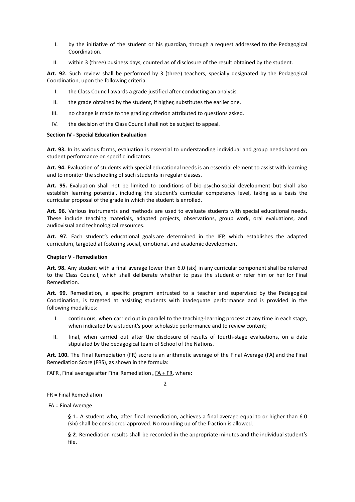- I. by the initiative of the student or his guardian, through a request addressed to the Pedagogical Coordination.
- II. within 3 (three) business days, counted as of disclosure of the result obtained by the student.

**Art. 92.** Such review shall be performed by 3 (three) teachers, specially designated by the Pedagogical Coordination, upon the following criteria:

- I. the Class Council awards a grade justified after conducting an analysis.
- II. the grade obtained by the student, if higher, substitutes the earlier one.
- III. no change is made to the grading criterion attributed to questions asked.
- IV. the decision of the Class Council shall not be subject to appeal.

#### **Section IV - Special Education Evaluation**

**Art. 93.** In its various forms, evaluation is essential to understanding individual and group needs based on student performance on specific indicators.

**Art. 94.** Evaluation of students with special educational needs is an essential element to assist with learning and to monitor the schooling of such students in regular classes.

**Art. 95.** Evaluation shall not be limited to conditions of bio-psycho-social development but shall also establish learning potential, including the student's curricular competency level, taking as a basis the curricular proposal of the grade in which the student is enrolled.

**Art. 96.** Various instruments and methods are used to evaluate students with special educational needs. These include teaching materials, adapted projects, observations, group work, oral evaluations, and audiovisual and technological resources.

**Art. 97.** Each student's educational goals are determined in the IEP, which establishes the adapted curriculum, targeted at fostering social, emotional, and academic development.

#### <span id="page-15-0"></span>**Chapter V - Remediation**

**Art. 98.** Any student with a final average lower than 6.0 (six) in any curricular component shall be referred to the Class Council, which shall deliberate whether to pass the student or refer him or her for Final Remediation.

**Art. 99.** Remediation, a specific program entrusted to a teacher and supervised by the Pedagogical Coordination, is targeted at assisting students with inadequate performance and is provided in the following modalities:

- I. continuous, when carried out in parallel to the teaching-learning process at any time in each stage, when indicated by a student's poor scholastic performance and to review content;
- II. final, when carried out after the disclosure of results of fourth-stage evaluations, on a date stipulated by the pedagogical team of School of the Nations.

**Art. 100.** The Final Remediation (FR) score is an arithmetic average of the Final Average (FA) and the Final Remediation Score (FRS), as shown in the formula:

FAFR = Final average after Final Remediation =  $FA$  + FR, where:

 $\overline{\phantom{a}}$ 

# FR = Final Remediation

FA = Final Average

**§ 1.** A student who, after final remediation, achieves a final average equal to or higher than 6.0 (six) shall be considered approved. No rounding up of the fraction is allowed.

**§ 2**. Remediation results shall be recorded in the appropriate minutes and the individual student's file.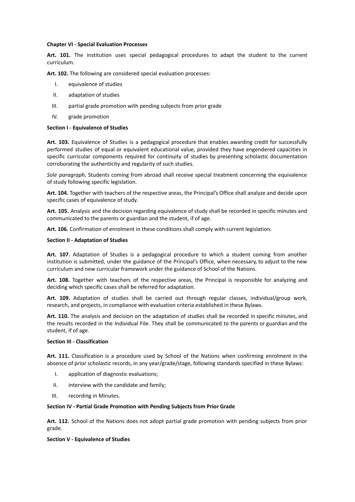#### <span id="page-16-0"></span>**Chapter VI - Special Evaluation Processes**

**Art. 101.** The institution uses special pedagogical procedures to adapt the student to the current curriculum.

**Art. 102.** The following are considered special evaluation processes:

- I. equivalence of studies
- II. adaptation of studies
- III. partial grade promotion with pending subjects from prior grade
- IV. grade promotion

#### **Section I - Equivalence of Studies**

**Art. 103.** Equivalence of Studies is a pedagogical procedure that enables awarding credit for successfully performed studies of equal or equivalent educational value, provided they have engendered capacities in specific curricular components required for continuity of studies by presenting scholastic documentation corroborating the authenticity and regularity of such studies.

*Sole paragraph.* Students coming from abroad shall receive special treatment concerning the equivalence of study following specific legislation.

**Art. 104.** Together with teachers of the respective areas, the Principal's Office shall analyze and decide upon specific cases of equivalence of study.

**Art. 105.** Analysis and the decision regarding equivalence of study shall be recorded in specific minutes and communicated to the parents or guardian and the student, if of age.

**Art. 106.** Confirmation of enrolment in these conditions shall comply with current legislation.

#### **Section II - Adaptation of Studies**

**Art. 107.** Adaptation of Studies is a pedagogical procedure to which a student coming from another institution is submitted, under the guidance of the Principal's Office, when necessary, to adjust to the new curriculum and new curricular framework under the guidance of School of the Nations.

**Art. 108.** Together with teachers of the respective areas, the Principal is responsible for analyzing and deciding which specific cases shall be referred for adaptation.

**Art. 109.** Adaptation of studies shall be carried out through regular classes, individual/group work, research, and projects, in compliance with evaluation criteria established in these Bylaws.

**Art. 110.** The analysis and decision on the adaptation of studies shall be recorded in specific minutes, and the results recorded in the Individual File. They shall be communicated to the parents or guardian and the student, if of age.

#### **Section III - Classification**

**Art. 111.** Classification is a procedure used by School of the Nations when confirming enrolment in the absence of prior scholastic records, in any year/grade/stage, following standards specified in these Bylaws:

- I. application of diagnostic evaluations;
- II. interview with the candidate and family;
- III. recording in Minutes.

#### **Section IV - Partial Grade Promotion with Pending Subjects from Prior Grade**

**Art. 112.** School of the Nations does not adopt partial grade promotion with pending subjects from prior grade.

#### **Section V - Equivalence of Studies**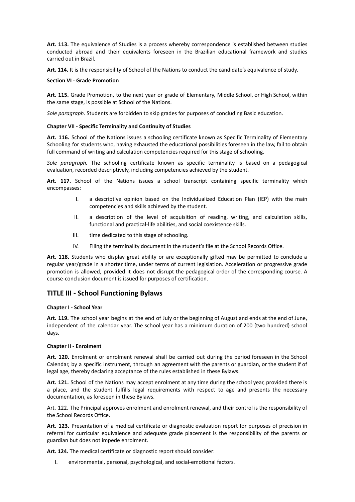**Art. 113.** The equivalence of Studies is a process whereby correspondence is established between studies conducted abroad and their equivalents foreseen in the Brazilian educational framework and studies carried out in Brazil.

**Art. 114.** It is the responsibility of School of the Nations to conduct the candidate's equivalence of study.

#### **Section VI - Grade Promotion**

**Art. 115.** Grade Promotion, to the next year or grade of Elementary, Middle School, or High School, within the same stage, is possible at School of the Nations.

*Sole paragraph.* Students are forbidden to skip grades for purposes of concluding Basic education.

#### <span id="page-17-0"></span>**Chapter VII - Specific Terminality and Continuity of Studies**

**Art. 116.** School of the Nations issues a schooling certificate known as Specific Terminality of Elementary Schooling for students who, having exhausted the educational possibilities foreseen in the law, fail to obtain full command of writing and calculation competencies required for this stage of schooling.

*Sole paragraph.* The schooling certificate known as specific terminality is based on a pedagogical evaluation, recorded descriptively, including competencies achieved by the student.

**Art. 117.** School of the Nations issues a school transcript containing specific terminality which encompasses:

- I. a descriptive opinion based on the Individualized Education Plan (IEP) with the main competencies and skills achieved by the student.
- II. a description of the level of acquisition of reading, writing, and calculation skills, functional and practical-life abilities, and social coexistence skills.
- III. time dedicated to this stage of schooling.
- IV. Filing the terminality document in the student's file at the School Records Office.

**Art. 118.** Students who display great ability or are exceptionally gifted may be permitted to conclude a regular year/grade in a shorter time, under terms of current legislation. Acceleration or progressive grade promotion is allowed, provided it does not disrupt the pedagogical order of the corresponding course. A course-conclusion document is issued for purposes of certification.

# <span id="page-17-1"></span>**TITLE III - School Functioning Bylaws**

# <span id="page-17-2"></span>**Chapter I - School Year**

**Art. 119.** The school year begins at the end of July or the beginning of August and ends at the end of June, independent of the calendar year. The school year has a minimum duration of 200 (two hundred) school days.

#### <span id="page-17-3"></span>**Chapter II - Enrolment**

**Art. 120.** Enrolment or enrolment renewal shall be carried out during the period foreseen in the School Calendar, by a specific instrument, through an agreement with the parents or guardian, or the student if of legal age, thereby declaring acceptance of the rules established in these Bylaws.

**Art. 121.** School of the Nations may accept enrolment at any time during the school year, provided there is a place, and the student fulfills legal requirements with respect to age and presents the necessary documentation, as foreseen in these Bylaws.

Art. 122. The Principal approves enrolment and enrolment renewal, and their control is the responsibility of the School Records Office.

**Art. 123.** Presentation of a medical certificate or diagnostic evaluation report for purposes of precision in referral for curricular equivalence and adequate grade placement is the responsibility of the parents or guardian but does not impede enrolment.

**Art. 124.** The medical certificate or diagnostic report should consider:

I. environmental, personal, psychological, and social-emotional factors.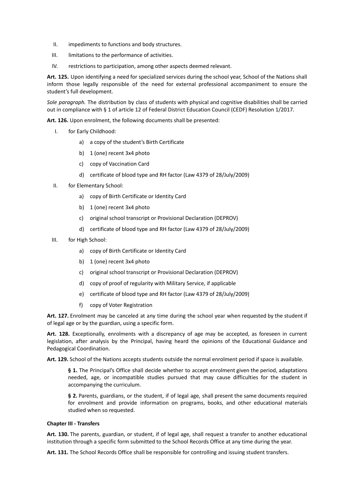- II. impediments to functions and body structures.
- III. limitations to the performance of activities.
- IV. restrictions to participation, among other aspects deemed relevant.

**Art. 125.** Upon identifying a need for specialized services during the school year, School of the Nations shall inform those legally responsible of the need for external professional accompaniment to ensure the student's full development.

*Sole paragraph.* The distribution by class of students with physical and cognitive disabilities shall be carried out in compliance with § 1 of article 12 of Federal District Education Council (CEDF) Resolution 1/2017.

**Art. 126.** Upon enrolment, the following documents shall be presented:

- I. for Early Childhood:
	- a) a copy of the student's Birth Certificate
	- b) 1 (one) recent 3x4 photo
	- c) copy of Vaccination Card
	- d) certificate of blood type and RH factor (Law 4379 of 28/July/2009)
- II. for Elementary School:
	- a) copy of Birth Certificate or Identity Card
	- b) 1 (one) recent 3x4 photo
	- c) original school transcript or Provisional Declaration (DEPROV)
	- d) certificate of blood type and RH factor (Law 4379 of 28/July/2009)
- III. for High School:
	- a) copy of Birth Certificate or Identity Card
	- b) 1 (one) recent 3x4 photo
	- c) original school transcript or Provisional Declaration (DEPROV)
	- d) copy of proof of regularity with Military Service, if applicable
	- e) certificate of blood type and RH factor (Law 4379 of 28/July/2009)
	- f) copy of Voter Registration

**Art. 127.** Enrolment may be canceled at any time during the school year when requested by the student if of legal age or by the guardian, using a specific form.

**Art. 128.** Exceptionally, enrolments with a discrepancy of age may be accepted, as foreseen in current legislation, after analysis by the Principal, having heard the opinions of the Educational Guidance and Pedagogical Coordination.

**Art. 129.** School of the Nations accepts students outside the normal enrolment period if space is available.

**§ 1.** The Principal's Office shall decide whether to accept enrolment given the period, adaptations needed, age, or incompatible studies pursued that may cause difficulties for the student in accompanying the curriculum.

**§ 2.** Parents, guardians, or the student, if of legal age, shall present the same documents required for enrolment and provide information on programs, books, and other educational materials studied when so requested.

#### <span id="page-18-0"></span>**Chapter III - Transfers**

**Art. 130.** The parents, guardian, or student, if of legal age, shall request a transfer to another educational institution through a specific form submitted to the School Records Office at any time during the year.

**Art. 131.** The School Records Office shall be responsible for controlling and issuing student transfers.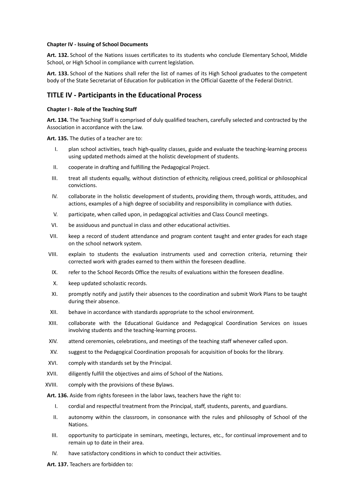#### <span id="page-19-0"></span>**Chapter IV - Issuing of School Documents**

**Art. 132.** School of the Nations issues certificates to its students who conclude Elementary School, Middle School, or High School in compliance with current legislation.

**Art. 133.** School of the Nations shall refer the list of names of its High School graduates to the competent body of the State Secretariat of Education for publication in the Official Gazette of the Federal District.

# <span id="page-19-1"></span>**TITLE IV - Participants in the Educational Process**

# <span id="page-19-2"></span>**Chapter I - Role of the Teaching Staff**

**Art. 134.** The Teaching Staff is comprised of duly qualified teachers, carefully selected and contracted by the Association in accordance with the Law.

**Art. 135.** The duties of a teacher are to:

- I. plan school activities, teach high-quality classes, guide and evaluate the teaching-learning process using updated methods aimed at the holistic development of students.
- II. cooperate in drafting and fulfilling the Pedagogical Project.
- III. treat all students equally, without distinction of ethnicity, religious creed, political or philosophical convictions.
- IV. collaborate in the holistic development of students, providing them, through words, attitudes, and actions, examples of a high degree of sociability and responsibility in compliance with duties.
- V. participate, when called upon, in pedagogical activities and Class Council meetings.
- VI. be assiduous and punctual in class and other educational activities.
- VII. keep a record of student attendance and program content taught and enter grades for each stage on the school network system.
- VIII. explain to students the evaluation instruments used and correction criteria, returning their corrected work with grades earned to them within the foreseen deadline.
- IX. refer to the School Records Office the results of evaluations within the foreseen deadline.
- X. keep updated scholastic records.
- XI. promptly notify and justify their absences to the coordination and submit Work Plans to be taught during their absence.
- XII. behave in accordance with standards appropriate to the school environment.
- XIII. collaborate with the Educational Guidance and Pedagogical Coordination Services on issues involving students and the teaching-learning process.
- XIV. attend ceremonies, celebrations, and meetings of the teaching staff whenever called upon.
- XV. suggest to the Pedagogical Coordination proposals for acquisition of books for the library.
- XVI. comply with standards set by the Principal.
- XVII. diligently fulfill the objectives and aims of School of the Nations.
- XVIII. comply with the provisions of these Bylaws.
- **Art. 136.** Aside from rights foreseen in the labor laws, teachers have the right to:
	- I. cordial and respectful treatment from the Principal, staff, students, parents, and guardians.
	- II. autonomy within the classroom, in consonance with the rules and philosophy of School of the Nations.
	- III. opportunity to participate in seminars, meetings, lectures, etc., for continual improvement and to remain up to date in their area.
	- IV. have satisfactory conditions in which to conduct their activities.

**Art. 137.** Teachers are forbidden to: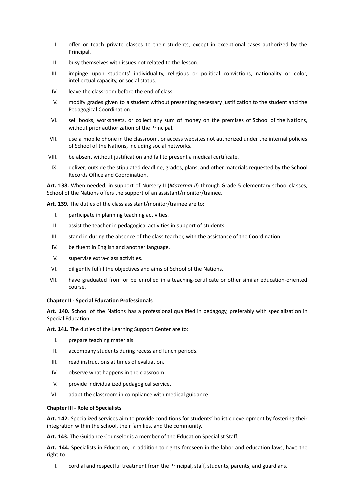- I. offer or teach private classes to their students, except in exceptional cases authorized by the Principal.
- II. busy themselves with issues not related to the lesson.
- III. impinge upon students' individuality, religious or political convictions, nationality or color, intellectual capacity, or social status.
- IV. leave the classroom before the end of class.
- V. modify grades given to a student without presenting necessary justification to the student and the Pedagogical Coordination.
- VI. sell books, worksheets, or collect any sum of money on the premises of School of the Nations, without prior authorization of the Principal.
- VII. use a mobile phone in the classroom, or access websites not authorized under the internal policies of School of the Nations, including social networks.
- VIII. be absent without justification and fail to present a medical certificate.
- IX. deliver, outside the stipulated deadline, grades, plans, and other materials requested by the School Records Office and Coordination.

**Art. 138.** When needed, in support of Nursery II (*Maternal II*) through Grade 5 elementary school classes, School of the Nations offers the support of an assistant/monitor/trainee.

**Art. 139.** The duties of the class assistant/monitor/trainee are to:

- I. participate in planning teaching activities.
- II. assist the teacher in pedagogical activities in support of students.
- III. stand in during the absence of the class teacher, with the assistance of the Coordination.
- IV. be fluent in English and another language.
- V. supervise extra-class activities.
- VI. diligently fulfill the objectives and aims of School of the Nations.
- VII. have graduated from or be enrolled in a teaching-certificate or other similar education-oriented course.

### <span id="page-20-0"></span>**Chapter II - Special Education Professionals**

**Art. 140.** School of the Nations has a professional qualified in pedagogy, preferably with specialization in Special Education.

**Art. 141.** The duties of the Learning Support Center are to:

- I. prepare teaching materials.
- II. accompany students during recess and lunch periods.
- III. read instructions at times of evaluation.
- IV. observe what happens in the classroom.
- V. provide individualized pedagogical service.
- VI. adapt the classroom in compliance with medical guidance.

#### <span id="page-20-1"></span>**Chapter III - Role of Specialists**

**Art. 142.** Specialized services aim to provide conditions for students' holistic development by fostering their integration within the school, their families, and the community.

**Art. 143.** The Guidance Counselor is a member of the Education Specialist Staff.

**Art. 144.** Specialists in Education, in addition to rights foreseen in the labor and education laws, have the right to:

I. cordial and respectful treatment from the Principal, staff, students, parents, and guardians.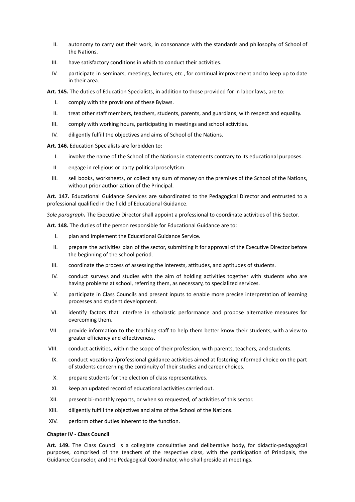- II. autonomy to carry out their work, in consonance with the standards and philosophy of School of the Nations.
- III. have satisfactory conditions in which to conduct their activities.
- IV. participate in seminars, meetings, lectures, etc., for continual improvement and to keep up to date in their area.

**Art. 145.** The duties of Education Specialists, in addition to those provided for in labor laws, are to:

- I. comply with the provisions of these Bylaws.
- II. treat other staff members, teachers, students, parents, and guardians, with respect and equality.
- III. comply with working hours, participating in meetings and school activities.
- IV. diligently fulfill the objectives and aims of School of the Nations.

**Art. 146.** Education Specialists are forbidden to:

- I. involve the name of the School of the Nations in statements contrary to its educational purposes.
- II. engage in religious or party-political proselytism.
- III. sell books, worksheets, or collect any sum of money on the premises of the School of the Nations, without prior authorization of the Principal.

**Art. 147.** Educational Guidance Services are subordinated to the Pedagogical Director and entrusted to a professional qualified in the field of Educational Guidance.

*Sole paragraph***.** The Executive Director shall appoint a professional to coordinate activities of this Sector.

**Art. 148.** The duties of the person responsible for Educational Guidance are to:

- I. plan and implement the Educational Guidance Service.
- II. prepare the activities plan of the sector, submitting it for approval of the Executive Director before the beginning of the school period.
- III. coordinate the process of assessing the interests, attitudes, and aptitudes of students.
- IV. conduct surveys and studies with the aim of holding activities together with students who are having problems at school, referring them, as necessary, to specialized services.
- V. participate in Class Councils and present inputs to enable more precise interpretation of learning processes and student development.
- VI. identify factors that interfere in scholastic performance and propose alternative measures for overcoming them.
- VII. provide information to the teaching staff to help them better know their students, with a view to greater efficiency and effectiveness.
- VIII. conduct activities, within the scope of their profession, with parents, teachers, and students.
- IX. conduct vocational/professional guidance activities aimed at fostering informed choice on the part of students concerning the continuity of their studies and career choices.
- X. prepare students for the election of class representatives.
- XI. keep an updated record of educational activities carried out.
- XII. present bi-monthly reports, or when so requested, of activities of this sector.
- XIII. diligently fulfill the objectives and aims of the School of the Nations.
- XIV. perform other duties inherent to the function.

#### <span id="page-21-0"></span>**Chapter IV - Class Council**

**Art. 149.** The Class Council is a collegiate consultative and deliberative body, for didactic-pedagogical purposes, comprised of the teachers of the respective class, with the participation of Principals, the Guidance Counselor, and the Pedagogical Coordinator, who shall preside at meetings.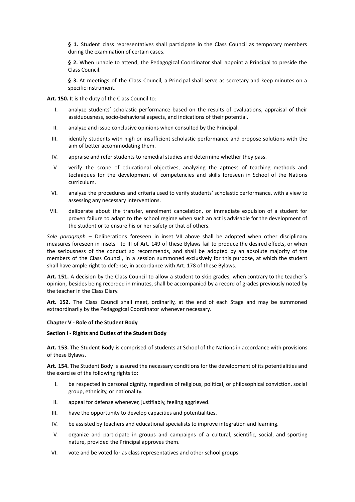**§ 1.** Student class representatives shall participate in the Class Council as temporary members during the examination of certain cases.

**§ 2.** When unable to attend, the Pedagogical Coordinator shall appoint a Principal to preside the Class Council.

**§ 3.** At meetings of the Class Council, a Principal shall serve as secretary and keep minutes on a specific instrument.

**Art. 150.** It is the duty of the Class Council to:

- I. analyze students' scholastic performance based on the results of evaluations, appraisal of their assiduousness, socio-behavioral aspects, and indications of their potential.
- II. analyze and issue conclusive opinions when consulted by the Principal.
- III. identify students with high or insufficient scholastic performance and propose solutions with the aim of better accommodating them.
- IV. appraise and refer students to remedial studies and determine whether they pass.
- V. verify the scope of educational objectives, analyzing the aptness of teaching methods and techniques for the development of competencies and skills foreseen in School of the Nations curriculum.
- VI. analyze the procedures and criteria used to verify students' scholastic performance, with a view to assessing any necessary interventions.
- VII. deliberate about the transfer, enrolment cancelation, or immediate expulsion of a student for proven failure to adapt to the school regime when such an act is advisable for the development of the student or to ensure his or her safety or that of others.

*Sole paragraph* – Deliberations foreseen in inset VII above shall be adopted when other disciplinary measures foreseen in insets I to III of Art. 149 of these Bylaws fail to produce the desired effects, or when the seriousness of the conduct so recommends, and shall be adopted by an absolute majority of the members of the Class Council, in a session summoned exclusively for this purpose, at which the student shall have ample right to defense, in accordance with Art. 178 of these Bylaws.

**Art. 151.** A decision by the Class Council to allow a student to skip grades, when contrary to the teacher's opinion, besides being recorded in minutes, shall be accompanied by a record of grades previously noted by the teacher in the Class Diary.

**Art. 152.** The Class Council shall meet, ordinarily, at the end of each Stage and may be summoned extraordinarily by the Pedagogical Coordinator whenever necessary.

#### <span id="page-22-0"></span>**Chapter V - Role of the Student Body**

#### **Section I - Rights and Duties of the Student Body**

**Art. 153.** The Student Body is comprised of students at School of the Nations in accordance with provisions of these Bylaws.

**Art. 154.** The Student Body is assured the necessary conditions for the development of its potentialities and the exercise of the following rights to:

- I. be respected in personal dignity, regardless of religious, political, or philosophical conviction, social group, ethnicity, or nationality.
- II. appeal for defense whenever, justifiably, feeling aggrieved.
- III. have the opportunity to develop capacities and potentialities.
- IV. be assisted by teachers and educational specialists to improve integration and learning.
- V. organize and participate in groups and campaigns of a cultural, scientific, social, and sporting nature, provided the Principal approves them.
- VI. vote and be voted for as class representatives and other school groups.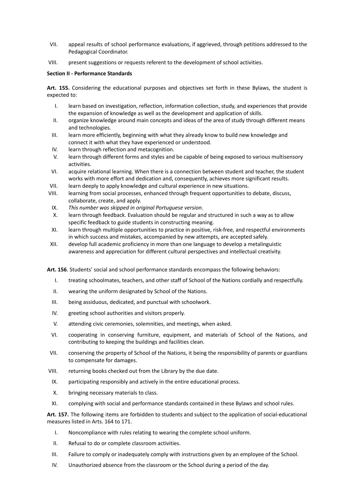- VII. appeal results of school performance evaluations, if aggrieved, through petitions addressed to the Pedagogical Coordinator.
- VIII. present suggestions or requests referent to the development of school activities.

# **Section II - Performance Standards**

**Art. 155.** Considering the educational purposes and objectives set forth in these Bylaws, the student is expected to:

- I. learn based on investigation, reflection, information collection, study, and experiences that provide the expansion of knowledge as well as the development and application of skills.
- II. organize knowledge around main concepts and ideas of the area of study through different means and technologies.
- III. learn more efficiently, beginning with what they already know to build new knowledge and connect it with what they have experienced or understood.
- IV. learn through reflection and metacognition.
- V. learn through different forms and styles and be capable of being exposed to various multisensory activities.
- VI. acquire relational learning. When there is a connection between student and teacher, the student works with more effort and dedication and, consequently, achieves more significant results.
- VII. learn deeply to apply knowledge and cultural experience in new situations.
- VIII. learning from social processes, enhanced through frequent opportunities to debate, discuss, collaborate, create, and apply.
- IX. *This number was skipped in original Portuguese version*.
- X. learn through feedback. Evaluation should be regular and structured in such a way as to allow specific feedback to guide students in constructing meaning.
- XI. learn through multiple opportunities to practice in positive, risk-free, and respectful environments in which success and mistakes, accompanied by new attempts, are accepted safely.
- XII. develop full academic proficiency in more than one language to develop a metalinguistic awareness and appreciation for different cultural perspectives and intellectual creativity.

**Art. 156**. Students' social and school performance standards encompass the following behaviors:

- I. treating schoolmates, teachers, and other staff of School of the Nations cordially and respectfully.
- II. wearing the uniform designated by School of the Nations.
- III. being assiduous, dedicated, and punctual with schoolwork.
- IV. greeting school authorities and visitors properly.
- V. attending civic ceremonies, solemnities, and meetings, when asked.
- VI. cooperating in conserving furniture, equipment, and materials of School of the Nations, and contributing to keeping the buildings and facilities clean.
- VII. conserving the property of School of the Nations, it being the responsibility of parents or guardians to compensate for damages.
- VIII. returning books checked out from the Library by the due date.
- IX. participating responsibly and actively in the entire educational process.
- X. bringing necessary materials to class.
- XI. complying with social and performance standards contained in these Bylaws and school rules.

**Art. 157.** The following items are forbidden to students and subject to the application of social-educational measures listed in Arts. 164 to 171.

- I. Noncompliance with rules relating to wearing the complete school uniform.
- II. Refusal to do or complete classroom activities.
- III. Failure to comply or inadequately comply with instructions given by an employee of the School.
- IV. Unauthorized absence from the classroom or the School during a period of the day.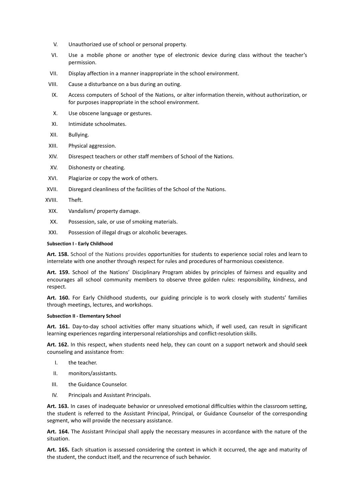- V. Unauthorized use of school or personal property.
- VI. Use a mobile phone or another type of electronic device during class without the teacher's permission.
- VII. Display affection in a manner inappropriate in the school environment.
- VIII. Cause a disturbance on a bus during an outing.
- IX. Access computers of School of the Nations, or alter information therein, without authorization, or for purposes inappropriate in the school environment.
- X. Use obscene language or gestures.
- XI. Intimidate schoolmates.
- XII. Bullying.
- XIII. Physical aggression.
- XIV. Disrespect teachers or other staff members of School of the Nations.
- XV. Dishonesty or cheating.
- XVI. Plagiarize or copy the work of others.
- XVII. Disregard cleanliness of the facilities of the School of the Nations.
- XVIII. Theft.
- XIX. Vandalism/ property damage.
- XX. Possession, sale, or use of smoking materials.
- XXI. Possession of illegal drugs or alcoholic beverages.

#### **Subsection I - Early Childhood**

**Art. 158.** School of the Nations provides opportunities for students to experience social roles and learn to interrelate with one another through respect for rules and procedures of harmonious coexistence.

**Art. 159.** School of the Nations' Disciplinary Program abides by principles of fairness and equality and encourages all school community members to observe three golden rules: responsibility, kindness, and respect.

**Art. 160.** For Early Childhood students, our guiding principle is to work closely with students' families through meetings, lectures, and workshops.

#### **Subsection II - Elementary School**

**Art. 161.** Day-to-day school activities offer many situations which, if well used, can result in significant learning experiences regarding interpersonal relationships and conflict-resolution skills.

**Art. 162.** In this respect, when students need help, they can count on a support network and should seek counseling and assistance from:

- I. the teacher.
- II. monitors/assistants.
- III. the Guidance Counselor.
- IV. Principals and Assistant Principals.

**Art. 163.** In cases of inadequate behavior or unresolved emotional difficulties within the classroom setting, the student is referred to the Assistant Principal, Principal, or Guidance Counselor of the corresponding segment, who will provide the necessary assistance.

**Art. 164.** The Assistant Principal shall apply the necessary measures in accordance with the nature of the situation.

**Art. 165.** Each situation is assessed considering the context in which it occurred, the age and maturity of the student, the conduct itself, and the recurrence of such behavior.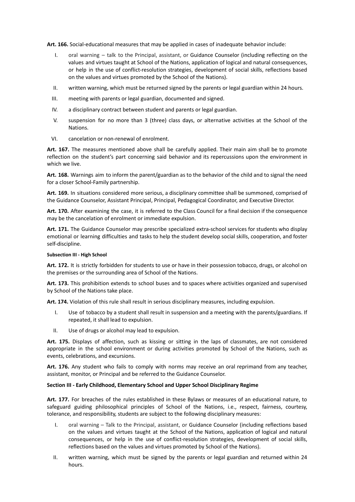**Art. 166.** Social-educational measures that may be applied in cases of inadequate behavior include:

- I. oral warning talk to the Principal, assistant, or Guidance Counselor (including reflecting on the values and virtues taught at School of the Nations, application of logical and natural consequences, or help in the use of conflict-resolution strategies, development of social skills, reflections based on the values and virtues promoted by the School of the Nations).
- II. written warning, which must be returned signed by the parents or legal guardian within 24 hours.
- III. meeting with parents or legal guardian, documented and signed.
- IV. a disciplinary contract between student and parents or legal guardian.
- V. suspension for no more than 3 (three) class days, or alternative activities at the School of the Nations.
- VI. cancelation or non-renewal of enrolment.

**Art. 167.** The measures mentioned above shall be carefully applied. Their main aim shall be to promote reflection on the student's part concerning said behavior and its repercussions upon the environment in which we live.

**Art. 168.** Warnings aim to inform the parent/guardian as to the behavior of the child and to signal the need for a closer School-Family partnership.

**Art. 169.** In situations considered more serious, a disciplinary committee shall be summoned, comprised of the Guidance Counselor, Assistant Principal, Principal, Pedagogical Coordinator, and Executive Director.

**Art. 170.** After examining the case, it is referred to the Class Council for a final decision if the consequence may be the cancelation of enrolment or immediate expulsion.

**Art. 171.** The Guidance Counselor may prescribe specialized extra-school services for students who display emotional or learning difficulties and tasks to help the student develop social skills, cooperation, and foster self-discipline.

#### **Subsection III - High School**

**Art. 172.** It is strictly forbidden for students to use or have in their possession tobacco, drugs, or alcohol on the premises or the surrounding area of School of the Nations.

**Art. 173.** This prohibition extends to school buses and to spaces where activities organized and supervised by School of the Nations take place.

**Art. 174.** Violation of this rule shall result in serious disciplinary measures, including expulsion.

- I. Use of tobacco by a student shall result in suspension and a meeting with the parents/guardians. If repeated, it shall lead to expulsion.
- II. Use of drugs or alcohol may lead to expulsion.

**Art. 175.** Displays of affection, such as kissing or sitting in the laps of classmates, are not considered appropriate in the school environment or during activities promoted by School of the Nations, such as events, celebrations, and excursions.

**Art. 176.** Any student who fails to comply with norms may receive an oral reprimand from any teacher, assistant, monitor, or Principal and be referred to the Guidance Counselor.

#### **Section III - Early Childhood, Elementary School and Upper School Disciplinary Regime**

**Art. 177.** For breaches of the rules established in these Bylaws or measures of an educational nature, to safeguard guiding philosophical principles of School of the Nations, i.e., respect, fairness, courtesy, tolerance, and responsibility, students are subject to the following disciplinary measures:

- I. oral warning Talk to the Principal, assistant, or Guidance Counselor (including reflections based on the values and virtues taught at the School of the Nations, application of logical and natural consequences, or help in the use of conflict-resolution strategies, development of social skills, reflections based on the values and virtues promoted by School of the Nations).
- II. written warning, which must be signed by the parents or legal guardian and returned within 24 hours.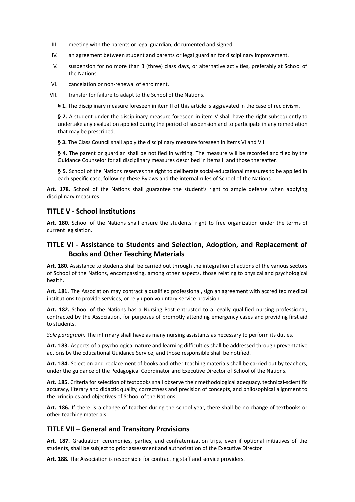- III. meeting with the parents or legal guardian, documented and signed.
- IV. an agreement between student and parents or legal guardian for disciplinary improvement.
- V. suspension for no more than 3 (three) class days, or alternative activities, preferably at School of the Nations.
- VI. cancelation or non-renewal of enrolment.
- VII. transfer for failure to adapt to the School of the Nations.

**§ 1.** The disciplinary measure foreseen in item II of this article is aggravated in the case of recidivism.

**§ 2.** A student under the disciplinary measure foreseen in item V shall have the right subsequently to undertake any evaluation applied during the period of suspension and to participate in any remediation that may be prescribed.

**§ 3.** The Class Council shall apply the disciplinary measure foreseen in items VI and VII.

**§ 4.** The parent or guardian shall be notified in writing. The measure will be recorded and filed by the Guidance Counselor for all disciplinary measures described in items II and those thereafter.

**§ 5.** School of the Nations reserves the right to deliberate social-educational measures to be applied in each specific case, following these Bylaws and the internal rules of School of the Nations.

**Art. 178.** School of the Nations shall guarantee the student's right to ample defense when applying disciplinary measures.

# <span id="page-26-0"></span>**TITLE V - School Institutions**

**Art. 180.** School of the Nations shall ensure the students' right to free organization under the terms of current legislation.

# <span id="page-26-1"></span>**TITLE VI - Assistance to Students and Selection, Adoption, and Replacement of Books and Other Teaching Materials**

**Art. 180.** Assistance to students shall be carried out through the integration of actions of the various sectors of School of the Nations, encompassing, among other aspects, those relating to physical and psychological health.

**Art. 181.** The Association may contract a qualified professional, sign an agreement with accredited medical institutions to provide services, or rely upon voluntary service provision.

**Art. 182.** School of the Nations has a Nursing Post entrusted to a legally qualified nursing professional, contracted by the Association, for purposes of promptly attending emergency cases and providing first aid to students.

*Sole paragraph.* The infirmary shall have as many nursing assistants as necessary to perform its duties.

**Art. 183.** Aspects of a psychological nature and learning difficulties shall be addressed through preventative actions by the Educational Guidance Service, and those responsible shall be notified.

**Art. 184.** Selection and replacement of books and other teaching materials shall be carried out by teachers, under the guidance of the Pedagogical Coordinator and Executive Director of School of the Nations.

**Art. 185.** Criteria for selection of textbooks shall observe their methodological adequacy, technical-scientific accuracy, literary and didactic quality, correctness and precision of concepts, and philosophical alignment to the principles and objectives of School of the Nations.

**Art. 186.** If there is a change of teacher during the school year, there shall be no change of textbooks or other teaching materials.

# <span id="page-26-2"></span>**TITLE VII – General and Transitory Provisions**

**Art. 187.** Graduation ceremonies, parties, and confraternization trips, even if optional initiatives of the students, shall be subject to prior assessment and authorization of the Executive Director.

**Art. 188.** The Association is responsible for contracting staff and service providers.